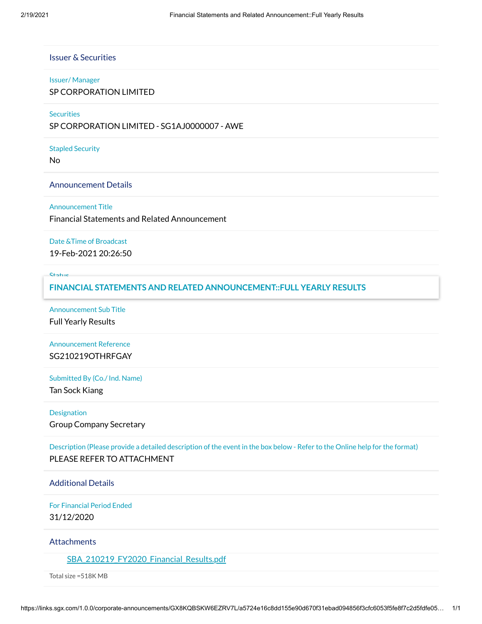# Issuer & Securities

#### Issuer/ Manager

SP CORPORATION LIMITED

### **Securities**

SP CORPORATION LIMITED - SG1AJ0000007 - AWE

### Stapled Security

No

#### Announcement Details

#### Announcement Title

Financial Statements and Related Announcement

#### Date &Time of Broadcast

19-Feb-2021 20:26:50

#### Status

### New **FINANCIAL STATEMENTS AND RELATED ANNOUNCEMENT::FULL YEARLY RESULTS**

Announcement Sub Title Full Yearly Results

# Announcement Reference SG210219OTHRFGAY

# Submitted By (Co./ Ind. Name)

Tan Sock Kiang

### Designation

Group Company Secretary

Description (Please provide a detailed description of the event in the box below - Refer to the Online help for the format) PLEASE REFER TO ATTACHMENT

## Additional Details

For Financial Period Ended 31/12/2020

### **Attachments**

[SBA\\_210219\\_FY2020\\_Financial\\_Results.pdf](https://links.sgx.com/1.0.0/corporate-announcements/GX8KQBSKW6EZRV7L/648824_SBA_210219_FY2020_Financial_Results.pdf)

Total size =518K MB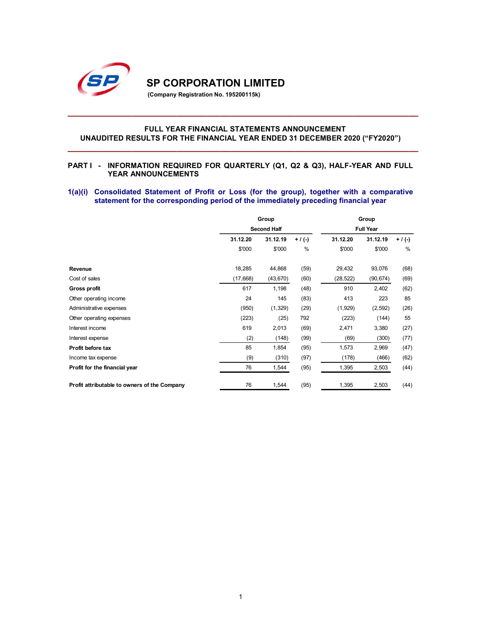

### FULL YEAR FINANCIAL STATEMENTS ANNOUNCEMENT UNAUDITED RESULTS FOR THE FINANCIAL YEAR ENDED 31 DECEMBER 2020 ("FY2020")

#### PART I - INFORMATION REQUIRED FOR QUARTERLY (Q1, Q2 & Q3), HALF-YEAR AND FULL YEAR ANNOUNCEMENTS

### 1(a)(i) Consolidated Statement of Profit or Loss (for the group), together with a comparative statement for the corresponding period of the immediately preceding financial year

| <b>SP CORPORATION LIMITED</b><br>(Company Registration No. 195200115k)                                                                                                              |                    |                    |                   |                    |                    |                |
|-------------------------------------------------------------------------------------------------------------------------------------------------------------------------------------|--------------------|--------------------|-------------------|--------------------|--------------------|----------------|
| <b>FULL YEAR FINANCIAL STATEMENTS ANNOUNCEMENT</b><br>UNAUDITED RESULTS FOR THE FINANCIAL YEAR ENDED 31 DECEMBER 2020 ("FY2020")                                                    |                    |                    |                   |                    |                    |                |
| <b>PARTI</b> -<br>INFORMATION REQUIRED FOR QUARTERLY (Q1, Q2 & Q3), HALF-YEAR AND FULL<br>YEAR ANNOUNCEMENTS                                                                        |                    |                    |                   |                    |                    |                |
| 1(a)(i) Consolidated Statement of Profit or Loss (for the group), together with a comparative<br>statement for the corresponding period of the immediately preceding financial year |                    |                    |                   |                    |                    |                |
|                                                                                                                                                                                     |                    |                    |                   |                    |                    |                |
|                                                                                                                                                                                     |                    | Group              |                   |                    | Group              |                |
|                                                                                                                                                                                     |                    | <b>Second Half</b> |                   |                    | <b>Full Year</b>   |                |
|                                                                                                                                                                                     | 31.12.20<br>\$'000 | 31.12.19<br>\$'000 | $+ / (-)$<br>$\%$ | 31.12.20<br>\$'000 | 31.12.19<br>\$'000 | $+$ / (-)<br>% |
|                                                                                                                                                                                     |                    |                    |                   |                    |                    |                |
| Revenue                                                                                                                                                                             | 18,285             | 44,868             | (59)              | 29,432             | 93,076             | (68)           |
| Cost of sales                                                                                                                                                                       | (17, 668)          | (43, 670)          | (60)              | (28, 522)          | (90, 674)          | (69)           |
| Gross profit                                                                                                                                                                        | 617                | 1,198              | (48)              | 910                | 2,402              | (62)           |
| Other operating income                                                                                                                                                              | 24                 | 145                | (83)              | 413                | 223                | 85             |
| Administrative expenses                                                                                                                                                             | (950)              | (1, 329)           | (29)              | (1,929)            | (2, 592)           | (26)           |
| Other operating expenses<br>Interest income                                                                                                                                         | (223)<br>619       | (25)               | 792               | (223)              | (144)              | 55             |
|                                                                                                                                                                                     |                    | 2,013              | (69)              | 2,471              | 3,380              | (27)           |
| Interest expense<br>Profit before tax                                                                                                                                               | (2)<br>85          | (148)              | (99)              | (69)               | (300)              | (77)           |
|                                                                                                                                                                                     |                    | 1,854              | (95)              | 1,573              | 2,969              | (47)           |
| Income tax expense                                                                                                                                                                  | (9)<br>76          | (310)              | (97)              | (178)              | (466)<br>2,503     | (62)           |
| Profit for the financial year<br>Profit attributable to owners of the Company                                                                                                       | 76                 | 1,544<br>1,544     | (95)<br>(95)      | 1,395<br>1,395     |                    | (44)<br>(44)   |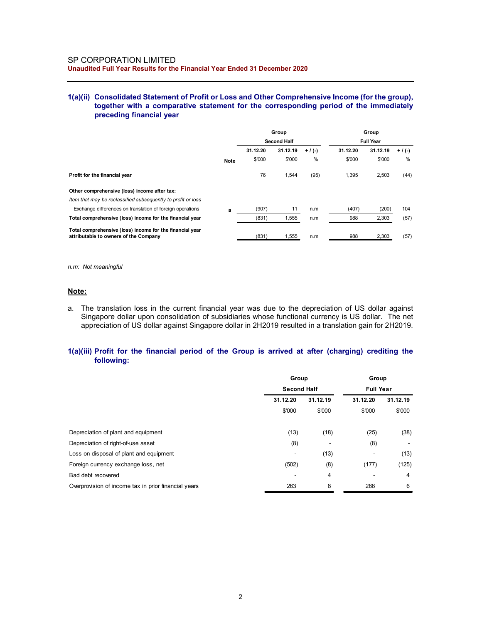### 1(a)(ii) Consolidated Statement of Profit or Loss and Other Comprehensive Income (for the group), together with a comparative statement for the corresponding period of the immediately preceding financial year

| SP CORPORATION LIMITED                                                                            |             |          |                    |           |          |                  |           |
|---------------------------------------------------------------------------------------------------|-------------|----------|--------------------|-----------|----------|------------------|-----------|
| Unaudited Full Year Results for the Financial Year Ended 31 December 2020                         |             |          |                    |           |          |                  |           |
|                                                                                                   |             |          |                    |           |          |                  |           |
|                                                                                                   |             |          |                    |           |          |                  |           |
| 1(a)(ii) Consolidated Statement of Profit or Loss and Other Comprehensive Income (for the group), |             |          |                    |           |          |                  |           |
| together with a comparative statement for the corresponding period of the immediately             |             |          |                    |           |          |                  |           |
|                                                                                                   |             |          |                    |           |          |                  |           |
| preceding financial year                                                                          |             |          |                    |           |          |                  |           |
|                                                                                                   |             |          |                    |           |          |                  |           |
|                                                                                                   |             |          | Group              |           |          | Group            |           |
|                                                                                                   |             |          | <b>Second Half</b> |           |          | <b>Full Year</b> |           |
|                                                                                                   |             | 31.12.20 | 31.12.19           | $+ / (-)$ | 31.12.20 | 31.12.19         | $+$ / (-) |
|                                                                                                   | <b>Note</b> | \$'000   | \$'000             | $\%$      | \$'000   | \$'000           | %         |
| Profit for the financial year                                                                     |             | 76       | 1,544              | (95)      | 1,395    | 2,503            | (44)      |
|                                                                                                   |             |          |                    |           |          |                  |           |
| Other comprehensive (loss) income after tax:                                                      |             |          |                    |           |          |                  |           |
| Item that may be reclassified subsequently to profit or loss                                      |             |          |                    |           |          |                  |           |
| Exchange differences on translation of foreign operations                                         | a           | (907)    | 11                 | n.m       | (407)    | (200)            | 104       |
| Total comprehensive (loss) income for the financial year                                          |             | (831)    | 1,555              | n.m       | 988      | 2,303            | (57)      |
| Total comprehensive (loss) income for the financial year<br>attributable to owners of the Company |             | (831)    | 1,555              | n.m       | 988      | 2,303            | (57)      |

#### Note:

### 1(a)(iii) Profit for the financial period of the Group is arrived at after (charging) crediting the following:

| Item that may be reclassified subsequently to profit or loss                                                                                                                                                                 |                    |                |                  |                          |
|------------------------------------------------------------------------------------------------------------------------------------------------------------------------------------------------------------------------------|--------------------|----------------|------------------|--------------------------|
| Exchange differences on translation of foreign operations                                                                                                                                                                    | (907)<br>11<br>a   | n.m            | (407)            | (200)<br>104             |
| Total comprehensive (loss) income for the financial year                                                                                                                                                                     | 1,555<br>(831)     | n.m            | 988              | 2,303<br>(57)            |
| Total comprehensive (loss) income for the financial year<br>attributable to owners of the Company                                                                                                                            | (831)<br>1,555     | n.m            | 988              | 2,303<br>(57)            |
| n.m: Not meaningful                                                                                                                                                                                                          |                    |                |                  |                          |
| <u>Note:</u>                                                                                                                                                                                                                 |                    |                |                  |                          |
| Singapore dollar upon consolidation of subsidiaries whose functional currency is US dollar. The net                                                                                                                          |                    |                |                  |                          |
| appreciation of US dollar against Singapore dollar in 2H2019 resulted in a translation gain for 2H2019.<br>1(a)(iii) Profit for the financial period of the Group is arrived at after (charging) crediting the<br>following: |                    |                |                  |                          |
|                                                                                                                                                                                                                              | Group              |                | Group            |                          |
|                                                                                                                                                                                                                              | <b>Second Half</b> |                | <b>Full Year</b> |                          |
|                                                                                                                                                                                                                              | 31.12.20           | 31.12.19       | 31.12.20         | 31.12.19                 |
|                                                                                                                                                                                                                              | \$'000             | \$'000         | \$'000           | \$'000                   |
| Depreciation of plant and equipment                                                                                                                                                                                          | (13)               | (18)           | (25)             | (38)                     |
| Depreciation of right-of-use asset                                                                                                                                                                                           | (8)                | $\blacksquare$ | (8)              | $\overline{\phantom{a}}$ |
| Loss on disposal of plant and equipment                                                                                                                                                                                      | $\blacksquare$     | (13)           | $\blacksquare$   | (13)                     |
| Foreign currency exchange loss, net                                                                                                                                                                                          | (502)              | (8)            | (177)            | (125)                    |
| Bad debt recovered                                                                                                                                                                                                           |                    | 4              | $\overline{a}$   | 4                        |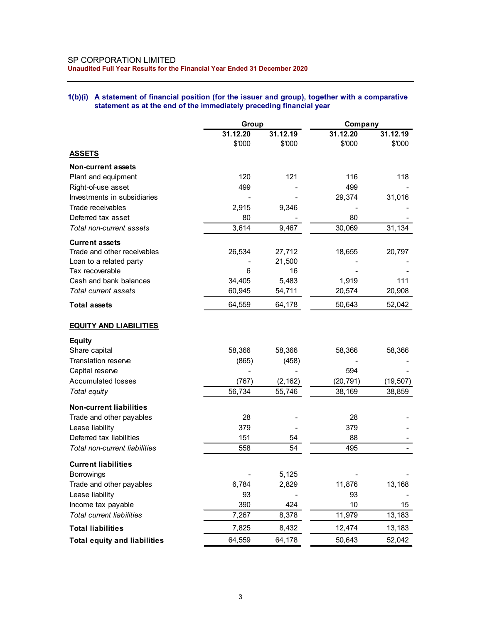## 1(b)(i) A statement of financial position (for the issuer and group), together with a comparative statement as at the end of the immediately preceding financial year

| SP CORPORATION LIMITED<br>Unaudited Full Year Results for the Financial Year Ended 31 December 2020                                                                      |          |          |                          |           |
|--------------------------------------------------------------------------------------------------------------------------------------------------------------------------|----------|----------|--------------------------|-----------|
|                                                                                                                                                                          |          |          |                          |           |
|                                                                                                                                                                          |          |          |                          |           |
|                                                                                                                                                                          |          |          |                          |           |
|                                                                                                                                                                          |          |          |                          |           |
|                                                                                                                                                                          |          |          |                          |           |
|                                                                                                                                                                          |          |          |                          |           |
|                                                                                                                                                                          |          |          |                          |           |
|                                                                                                                                                                          |          |          |                          |           |
| 1(b)(i) A statement of financial position (for the issuer and group), together with a comparative<br>statement as at the end of the immediately preceding financial year |          |          |                          |           |
|                                                                                                                                                                          |          |          |                          |           |
|                                                                                                                                                                          | Group    |          | Company                  |           |
|                                                                                                                                                                          | 31.12.20 | 31.12.19 | 31.12.20                 | 31.12.19  |
|                                                                                                                                                                          | \$'000   | \$'000   | \$'000                   | \$'000    |
| <b>ASSETS</b>                                                                                                                                                            |          |          |                          |           |
| <b>Non-current assets</b>                                                                                                                                                |          |          |                          |           |
| Plant and equipment                                                                                                                                                      | 120      | 121      | 116                      | 118       |
| Right-of-use asset                                                                                                                                                       | 499      |          | 499                      |           |
| Investments in subsidiaries                                                                                                                                              |          |          | 29,374                   | 31,016    |
| Trade receivables                                                                                                                                                        | 2,915    | 9,346    | $\overline{\phantom{a}}$ |           |
| Deferred tax asset                                                                                                                                                       | 80       |          | 80                       |           |
| Total non-current assets                                                                                                                                                 | 3,614    | 9,467    | 30,069                   | 31,134    |
| <b>Current assets</b>                                                                                                                                                    |          |          |                          |           |
| Trade and other receivables                                                                                                                                              | 26,534   | 27,712   | 18,655                   | 20,797    |
| Loan to a related party                                                                                                                                                  |          | 21,500   |                          |           |
| Tax recoverable                                                                                                                                                          | 6        | 16       |                          |           |
| Cash and bank balances                                                                                                                                                   | 34,405   | 5,483    | 1,919                    | 111       |
| Total current assets                                                                                                                                                     | 60,945   | 54,711   | 20,574                   | 20,908    |
| <b>Total assets</b>                                                                                                                                                      | 64,559   | 64,178   | 50,643                   | 52,042    |
|                                                                                                                                                                          |          |          |                          |           |
| <b>EQUITY AND LIABILITIES</b>                                                                                                                                            |          |          |                          |           |
|                                                                                                                                                                          |          |          |                          |           |
| <b>Equity</b><br>Share capital                                                                                                                                           | 58,366   | 58,366   | 58,366                   | 58,366    |
| Translation reserve                                                                                                                                                      | (865)    | (458)    |                          |           |
| Capital reserve                                                                                                                                                          |          |          | 594                      |           |
| <b>Accumulated losses</b>                                                                                                                                                | (767)    | (2, 162) | (20, 791)                | (19, 507) |
| Total equity                                                                                                                                                             | 56,734   | 55,746   | 38,169                   | 38,859    |
|                                                                                                                                                                          |          |          |                          |           |
| <b>Non-current liabilities</b>                                                                                                                                           |          |          |                          |           |
| Trade and other payables                                                                                                                                                 | 28       |          | 28                       |           |
| Lease liability                                                                                                                                                          | 379      |          | 379                      |           |
| Deferred tax liabilities                                                                                                                                                 | 151      | 54       | 88                       |           |
| Total non-current liabilities                                                                                                                                            | 558      | 54       | 495                      |           |
| <b>Current liabilities</b>                                                                                                                                               |          |          |                          |           |
| <b>Borrowings</b>                                                                                                                                                        |          | 5,125    |                          |           |
| Trade and other payables                                                                                                                                                 | 6,784    | 2,829    | 11,876                   | 13,168    |
| Lease liability                                                                                                                                                          | 93       |          | 93                       |           |
| Income tax payable                                                                                                                                                       | 390      | 424      | $10$                     | 15        |
| Total current liabilities                                                                                                                                                | 7,267    | 8,378    | 11,979                   | 13,183    |
| <b>Total liabilities</b>                                                                                                                                                 | 7,825    | 8,432    | 12,474                   | 13,183    |
|                                                                                                                                                                          | 64,559   | 64,178   |                          |           |
| <b>Total equity and liabilities</b>                                                                                                                                      |          |          | 50,643                   | 52,042    |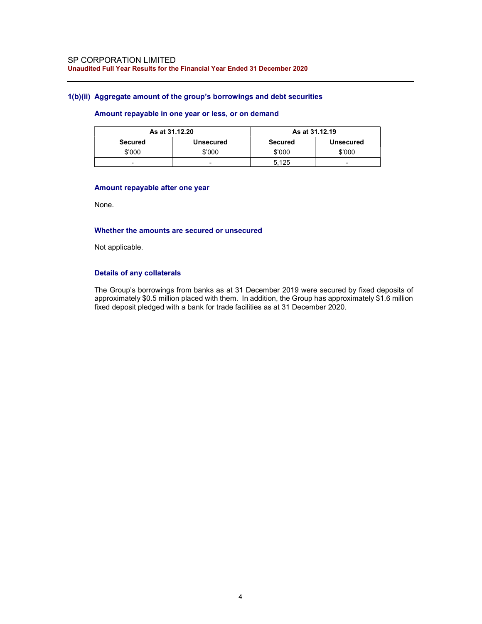#### 1(b)(ii) Aggregate amount of the group's borrowings and debt securities

## Amount repayable in one year or less, or on demand

|         | As at 31.12.20   |         | As at 31.12.19   |
|---------|------------------|---------|------------------|
| Secured | <b>Unsecured</b> | Secured | <b>Unsecured</b> |
| \$'000  | \$'000           | \$'000  | \$'000           |
| -       | -                | 5.125   | -                |

#### Amount repayable after one year

None.

### Whether the amounts are secured or unsecured

Not applicable.

## Details of any collaterals

The Group's borrowings from banks as at 31 December 2019 were secured by fixed deposits of approximately \$0.5 million placed with them. In addition, the Group has approximately \$1.6 million fixed deposit pledged with a bank for trade facilities as at 31 December 2020.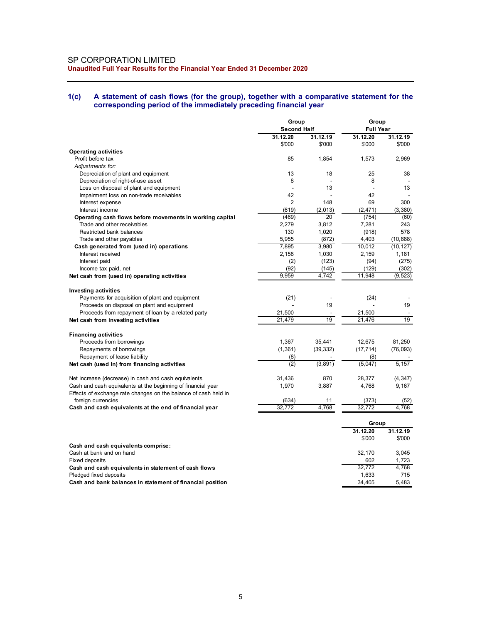#### 1(c) A statement of cash flows (for the group), together with a comparative statement for the corresponding period of the immediately preceding financial year

| SP CORPORATION LIMITED<br>Unaudited Full Year Results for the Financial Year Ended 31 December 2020                  |                             |                                     |                      |                                |  |
|----------------------------------------------------------------------------------------------------------------------|-----------------------------|-------------------------------------|----------------------|--------------------------------|--|
|                                                                                                                      |                             |                                     |                      |                                |  |
|                                                                                                                      |                             |                                     |                      |                                |  |
|                                                                                                                      |                             |                                     |                      |                                |  |
|                                                                                                                      |                             |                                     |                      |                                |  |
|                                                                                                                      |                             |                                     |                      |                                |  |
|                                                                                                                      |                             |                                     |                      |                                |  |
|                                                                                                                      |                             |                                     |                      |                                |  |
|                                                                                                                      |                             |                                     |                      |                                |  |
| A statement of cash flows (for the group), together with a comparative statement for the<br>1(c)                     |                             |                                     |                      |                                |  |
| corresponding period of the immediately preceding financial year                                                     |                             |                                     |                      |                                |  |
|                                                                                                                      |                             |                                     |                      |                                |  |
|                                                                                                                      | Group<br><b>Second Half</b> |                                     |                      | Group<br><b>Full Year</b>      |  |
|                                                                                                                      | 31.12.20                    | 31.12.19                            | 31.12.20             | 31.12.19                       |  |
| <b>Operating activities</b>                                                                                          | \$'000                      | \$'000                              | \$'000               | \$'000                         |  |
| Profit before tax                                                                                                    | 85                          | 1,854                               | 1,573                | 2,969                          |  |
| Adjustments for:<br>Depreciation of plant and equipment                                                              | 13                          | 18                                  | 25                   | 38                             |  |
| Depreciation of right-of-use asset                                                                                   | 8                           | $\overline{\phantom{a}}$            | 8                    | $\blacksquare$                 |  |
| Loss on disposal of plant and equipment<br>Impairment loss on non-trade receivables                                  | 42                          | 13                                  | $\blacksquare$<br>42 | 13                             |  |
| Interest expense                                                                                                     | $\overline{2}$              | 148                                 | 69                   | 300                            |  |
| Interest income                                                                                                      | (619)<br>(469)              | (2,013)<br>20                       | (2, 471)<br>(754)    | (3, 380)<br>(60)               |  |
| Operating cash flows before movements in working capital<br>Trade and other receivables                              | 2,279                       | 3,812                               | 7,281                | 243                            |  |
| Restricted bank balances                                                                                             | 130                         | 1,020                               | (918)                | 578                            |  |
| Trade and other payables<br>Cash generated from (used in) operations                                                 | 5,955<br>7,895              | (872)<br>3,980                      | 4,403<br>10,012      | (10, 888)<br>(10, 127)         |  |
| Interest received                                                                                                    | 2,158                       | 1,030                               | 2,159                | 1,181                          |  |
| Interest paid<br>Income tax paid, net                                                                                | (2)<br>(92)                 | (123)<br>(145)                      | (94)<br>(129)        | (275)<br>(302)                 |  |
| Net cash from (used in) operating activities                                                                         | 9,959                       | 4,742                               | 11,948               | (9, 523)                       |  |
|                                                                                                                      |                             |                                     |                      |                                |  |
| <b>Investing activities</b><br>Payments for acquisition of plant and equipment                                       | (21)                        |                                     | (24)                 |                                |  |
| Proceeds on disposal on plant and equipment                                                                          |                             | 19                                  |                      | 19                             |  |
| Proceeds from repayment of loan by a related party<br>Net cash from investing activities                             | 21,500<br>21,479            | $\sim$<br>19                        | 21,500<br>21,476     | $\overline{\phantom{a}}$<br>19 |  |
|                                                                                                                      |                             |                                     |                      |                                |  |
| <b>Financing activities</b><br>Proceeds from borrowings                                                              | 1,367                       | 35,441                              | 12,675               | 81,250                         |  |
| Repayments of borrowings                                                                                             | (1, 361)                    | (39, 332)                           | (17, 714)            | (76, 093)                      |  |
| Repayment of lease liability<br>Net cash (used in) from financing activities                                         | (8)<br>(2)                  | $\overline{\phantom{a}}$<br>(3,891) | (8)<br>(5,047)       | $\sim$<br>5,157                |  |
|                                                                                                                      |                             |                                     |                      |                                |  |
| Net increase (decrease) in cash and cash equivalents<br>Cash and cash equivalents at the beginning of financial year | 31,436<br>1,970             | 870<br>3,887                        | 28,377<br>4,768      | (4, 347)<br>9,167              |  |
| Effects of exchange rate changes on the balance of cash held in                                                      |                             |                                     |                      |                                |  |
| foreign currencies<br>Cash and cash equivalents at the end of financial year                                         | (634)<br>32,772             | 11<br>4,768                         | (373)<br>32,772      | (52)<br>4,768                  |  |
|                                                                                                                      |                             |                                     |                      |                                |  |
|                                                                                                                      |                             |                                     | Group                |                                |  |
|                                                                                                                      |                             |                                     | 31.12.20<br>\$'000   | 31.12.19<br>\$'000             |  |
| Cash and cash equivalents comprise:                                                                                  |                             |                                     |                      |                                |  |
| Cash at bank and on hand<br>Fixed deposits                                                                           |                             |                                     | 32,170<br>602        | 3,045<br>1,723                 |  |
| Cash and cash equivalents in statement of cash flows                                                                 |                             |                                     | 32,772               | 4,768                          |  |
| Pledged fixed deposits                                                                                               |                             |                                     | 1,633                | 715                            |  |
| Cash and bank balances in statement of financial position                                                            |                             |                                     | 34,405               | 5,483                          |  |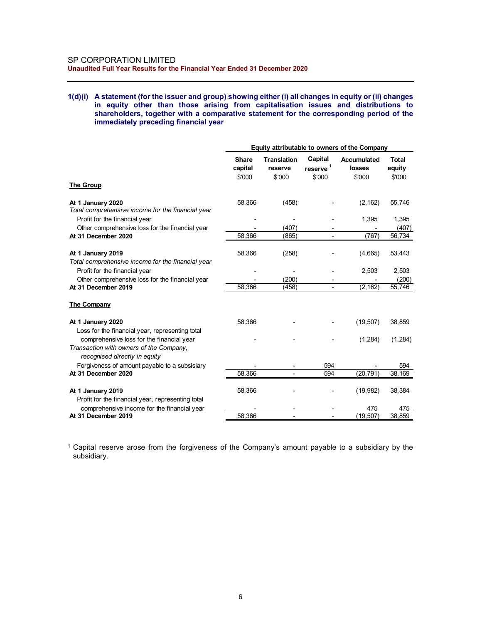#### 1(d)(i) A statement (for the issuer and group) showing either (i) all changes in equity or (ii) changes in equity other than those arising from capitalisation issues and distributions to shareholders, together with a comparative statement for the corresponding period of the immediately preceding financial year

|                                                                                                                                                                                                                                                                                                                                                                                     |                                    | Unaudited Full Year Results for the Financial Year Ended 31 December 2020 |                                                      |                                   |                 |  |  |  |
|-------------------------------------------------------------------------------------------------------------------------------------------------------------------------------------------------------------------------------------------------------------------------------------------------------------------------------------------------------------------------------------|------------------------------------|---------------------------------------------------------------------------|------------------------------------------------------|-----------------------------------|-----------------|--|--|--|
| A statement (for the issuer and group) showing either (i) all changes in equity or (ii) changes<br>1(d)(i)<br>in equity other than those arising from capitalisation issues and distributions to<br>shareholders, together with a comparative statement for the corresponding period of the<br>immediately preceding financial year<br>Equity attributable to owners of the Company |                                    |                                                                           |                                                      |                                   |                 |  |  |  |
|                                                                                                                                                                                                                                                                                                                                                                                     | Share                              | <b>Translation</b>                                                        | Capital                                              | Accumulated                       | <b>Total</b>    |  |  |  |
|                                                                                                                                                                                                                                                                                                                                                                                     | capital                            | reserve                                                                   | reserve                                              | losses                            | equity          |  |  |  |
| <b>The Group</b>                                                                                                                                                                                                                                                                                                                                                                    | \$'000                             | \$'000                                                                    | \$'000                                               | \$'000                            | \$'000          |  |  |  |
| At 1 January 2020                                                                                                                                                                                                                                                                                                                                                                   | 58,366                             | (458)                                                                     |                                                      | (2, 162)                          | 55,746          |  |  |  |
| Total comprehensive income for the financial year                                                                                                                                                                                                                                                                                                                                   |                                    |                                                                           |                                                      |                                   |                 |  |  |  |
| Profit for the financial year                                                                                                                                                                                                                                                                                                                                                       |                                    | $\overline{\phantom{a}}$                                                  |                                                      | 1,395                             | 1,395           |  |  |  |
| Other comprehensive loss for the financial year<br>At 31 December 2020                                                                                                                                                                                                                                                                                                              | $\overline{\phantom{a}}$<br>58,366 | (407)<br>(865)                                                            | $\overline{\phantom{a}}$<br>$\blacksquare$           | $\overline{\phantom{a}}$<br>(767) | (407)<br>56,734 |  |  |  |
|                                                                                                                                                                                                                                                                                                                                                                                     |                                    |                                                                           |                                                      |                                   |                 |  |  |  |
| At 1 January 2019                                                                                                                                                                                                                                                                                                                                                                   | 58,366                             | (258)                                                                     |                                                      | (4,665)                           | 53,443          |  |  |  |
| Total comprehensive income for the financial year                                                                                                                                                                                                                                                                                                                                   |                                    |                                                                           |                                                      |                                   |                 |  |  |  |
| Profit for the financial year                                                                                                                                                                                                                                                                                                                                                       |                                    | $\overline{\phantom{a}}$                                                  |                                                      | 2,503                             | 2,503           |  |  |  |
| Other comprehensive loss for the financial year<br>At 31 December 2019                                                                                                                                                                                                                                                                                                              | $\overline{\phantom{a}}$<br>58,366 | (200)<br>(458)                                                            | $\overline{\phantom{a}}$<br>$\overline{\phantom{a}}$ | (2, 162)                          | (200)<br>55,746 |  |  |  |
| <b>The Company</b>                                                                                                                                                                                                                                                                                                                                                                  |                                    |                                                                           |                                                      |                                   |                 |  |  |  |
|                                                                                                                                                                                                                                                                                                                                                                                     |                                    |                                                                           |                                                      |                                   |                 |  |  |  |
| At 1 January 2020                                                                                                                                                                                                                                                                                                                                                                   | 58,366                             |                                                                           |                                                      | (19, 507)                         | 38,859          |  |  |  |
| Loss for the financial year, representing total<br>comprehensive loss for the financial year                                                                                                                                                                                                                                                                                        |                                    |                                                                           |                                                      | (1,284)                           | (1,284)         |  |  |  |
| Transaction with owners of the Company,                                                                                                                                                                                                                                                                                                                                             |                                    |                                                                           |                                                      |                                   |                 |  |  |  |
| recognised directly in equity                                                                                                                                                                                                                                                                                                                                                       |                                    |                                                                           |                                                      |                                   |                 |  |  |  |
| Forgiveness of amount payable to a subsisiary                                                                                                                                                                                                                                                                                                                                       |                                    |                                                                           | 594                                                  |                                   | 594             |  |  |  |
| At 31 December 2020                                                                                                                                                                                                                                                                                                                                                                 | 58,366                             |                                                                           | 594                                                  | (20, 791)                         | 38,169          |  |  |  |
| At 1 January 2019                                                                                                                                                                                                                                                                                                                                                                   | 58,366                             |                                                                           |                                                      | (19, 982)                         | 38,384          |  |  |  |
| Profit for the financial year, representing total                                                                                                                                                                                                                                                                                                                                   |                                    |                                                                           |                                                      |                                   |                 |  |  |  |
| comprehensive income for the financial year                                                                                                                                                                                                                                                                                                                                         |                                    |                                                                           |                                                      | 475                               | 475             |  |  |  |
| At 31 December 2019                                                                                                                                                                                                                                                                                                                                                                 | 58,366                             | $\overline{\phantom{a}}$                                                  | $\blacksquare$                                       | (19, 507)                         | 38,859          |  |  |  |

<sup>1</sup>Capital reserve arose from the forgiveness of the Company's amount payable to a subsidiary by the subsidiary.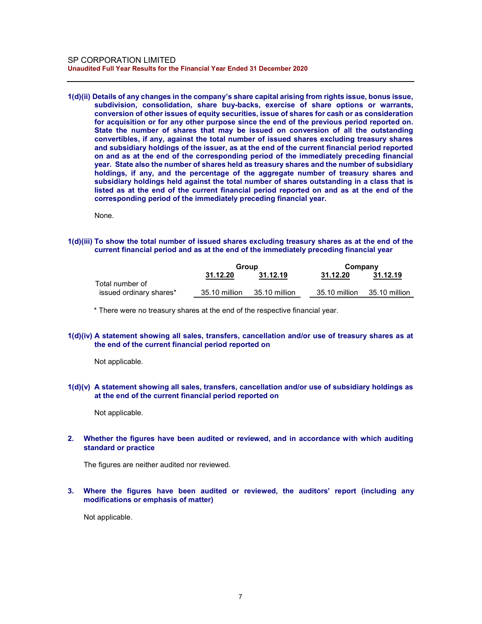1(d)(ii) Details of any changes in the company's share capital arising from rights issue, bonus issue, subdivision, consolidation, share buy-backs, exercise of share options or warrants, conversion of other issues of equity securities, issue of shares for cash or as consideration for acquisition or for any other purpose since the end of the previous period reported on. State the number of shares that may be issued on conversion of all the outstanding convertibles, if any, against the total number of issued shares excluding treasury shares and subsidiary holdings of the issuer, as at the end of the current financial period reported on and as at the end of the corresponding period of the immediately preceding financial year. State also the number of shares held as treasury shares and the number of subsidiary holdings, if any, and the percentage of the aggregate number of treasury shares and subsidiary holdings held against the total number of shares outstanding in a class that is listed as at the end of the current financial period reported on and as at the end of the corresponding period of the immediately preceding financial year.

None.

#### 1(d)(iii) To show the total number of issued shares excluding treasury shares as at the end of the current financial period and as at the end of the immediately preceding financial year

|                         | Group         |               | Company       |               |
|-------------------------|---------------|---------------|---------------|---------------|
|                         | 31.12.20      | 31.12.19      | 31.12.20      | 31.12.19      |
| Total number of         |               |               |               |               |
| issued ordinary shares* | 35.10 million | 35.10 million | 35.10 million | 35.10 million |

\* There were no treasury shares at the end of the respective financial year.

### 1(d)(iv) A statement showing all sales, transfers, cancellation and/or use of treasury shares as at the end of the current financial period reported on

Not applicable.

#### 1(d)(v) A statement showing all sales, transfers, cancellation and/or use of subsidiary holdings as at the end of the current financial period reported on

Not applicable.

### 2. Whether the figures have been audited or reviewed, and in accordance with which auditing standard or practice

The figures are neither audited nor reviewed.

### 3. Where the figures have been audited or reviewed, the auditors' report (including any modifications or emphasis of matter)

Not applicable.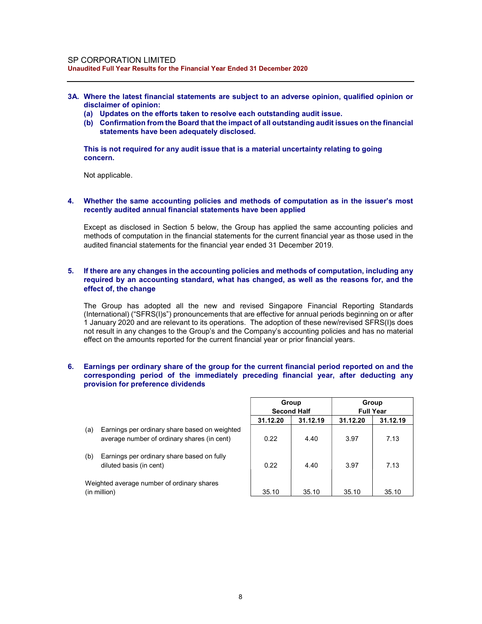- 3A. Where the latest financial statements are subject to an adverse opinion, qualified opinion or disclaimer of opinion:
	- (a) Updates on the efforts taken to resolve each outstanding audit issue.
	- (b) Confirmation from the Board that the impact of all outstanding audit issues on the financial statements have been adequately disclosed.

This is not required for any audit issue that is a material uncertainty relating to going concern.

Not applicable.

#### 4. Whether the same accounting policies and methods of computation as in the issuer's most recently audited annual financial statements have been applied

Except as disclosed in Section 5 below, the Group has applied the same accounting policies and methods of computation in the financial statements for the current financial year as those used in the audited financial statements for the financial year ended 31 December 2019.

#### 5. If there are any changes in the accounting policies and methods of computation, including any required by an accounting standard, what has changed, as well as the reasons for, and the effect of, the change

The Group has adopted all the new and revised Singapore Financial Reporting Standards (International) ("SFRS(I)s") pronouncements that are effective for annual periods beginning on or after 1 January 2020 and are relevant to its operations. The adoption of these new/revised SFRS(I)s does not result in any changes to the Group's and the Company's accounting policies and has no material effect on the amounts reported for the current financial year or prior financial years.

#### 6. Earnings per ordinary share of the group for the current financial period reported on and the corresponding period of the immediately preceding financial year, after deducting any provision for preference dividends

- (a) Earnings per ordinary share based on weighted average number of ordinary shares (in cent)
- (b) Earnings per ordinary share based on fully diluted basis (in cent)

|     |                                                                       |          | Group              |          | Group            |
|-----|-----------------------------------------------------------------------|----------|--------------------|----------|------------------|
|     |                                                                       |          | <b>Second Half</b> |          | <b>Full Year</b> |
|     |                                                                       | 31.12.20 | 31.12.19           | 31.12.20 | 31.12.19         |
| (a) | Earnings per ordinary share based on weighted                         |          |                    |          |                  |
|     | average number of ordinary shares (in cent)                           | 0.22     | 4.40               | 3.97     | 7.13             |
| (b) | Earnings per ordinary share based on fully<br>diluted basis (in cent) | 0.22     | 4.40               | 3.97     | 7.13             |
|     | Weighted average number of ordinary shares<br>(in million)            | 35.10    | 35.10              | 35.10    | 35.10            |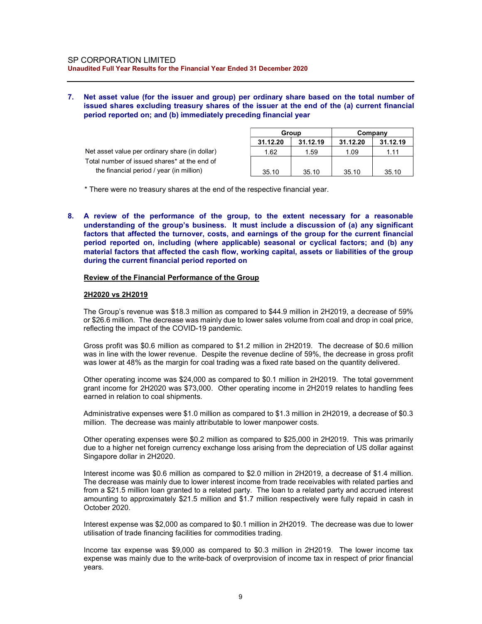### 7. Net asset value (for the issuer and group) per ordinary share based on the total number of issued shares excluding treasury shares of the issuer at the end of the (a) current financial period reported on; and (b) immediately preceding financial year

|                                                |          | Group    |          | Company  |
|------------------------------------------------|----------|----------|----------|----------|
|                                                | 31.12.20 | 31.12.19 | 31.12.20 | 31.12.19 |
| Net asset value per ordinary share (in dollar) | 1.62     | 1.59     | 1.09     | 1.11     |
| Total number of issued shares* at the end of   |          |          |          |          |
| the financial period / year (in million)       | 35.10    | 35.10    | 35.10    | 35.10    |

\* There were no treasury shares at the end of the respective financial year.

8. A review of the performance of the group, to the extent necessary for a reasonable understanding of the group's business. It must include a discussion of (a) any significant factors that affected the turnover, costs, and earnings of the group for the current financial period reported on, including (where applicable) seasonal or cyclical factors; and (b) any material factors that affected the cash flow, working capital, assets or liabilities of the group during the current financial period reported on

#### Review of the Financial Performance of the Group

#### 2H2020 vs 2H2019

The Group's revenue was \$18.3 million as compared to \$44.9 million in 2H2019, a decrease of 59% or \$26.6 million. The decrease was mainly due to lower sales volume from coal and drop in coal price, reflecting the impact of the COVID-19 pandemic.

Gross profit was \$0.6 million as compared to \$1.2 million in 2H2019. The decrease of \$0.6 million was in line with the lower revenue. Despite the revenue decline of 59%, the decrease in gross profit was lower at 48% as the margin for coal trading was a fixed rate based on the quantity delivered.

Other operating income was \$24,000 as compared to \$0.1 million in 2H2019. The total government grant income for 2H2020 was \$73,000. Other operating income in 2H2019 relates to handling fees earned in relation to coal shipments.

Administrative expenses were \$1.0 million as compared to \$1.3 million in 2H2019, a decrease of \$0.3 million. The decrease was mainly attributable to lower manpower costs.

Other operating expenses were \$0.2 million as compared to \$25,000 in 2H2019. This was primarily due to a higher net foreign currency exchange loss arising from the depreciation of US dollar against Singapore dollar in 2H2020.

Interest income was \$0.6 million as compared to \$2.0 million in 2H2019, a decrease of \$1.4 million. The decrease was mainly due to lower interest income from trade receivables with related parties and from a \$21.5 million loan granted to a related party. The loan to a related party and accrued interest amounting to approximately \$21.5 million and \$1.7 million respectively were fully repaid in cash in October 2020.

Interest expense was \$2,000 as compared to \$0.1 million in 2H2019. The decrease was due to lower utilisation of trade financing facilities for commodities trading.

Income tax expense was \$9,000 as compared to \$0.3 million in 2H2019. The lower income tax expense was mainly due to the write-back of overprovision of income tax in respect of prior financial years.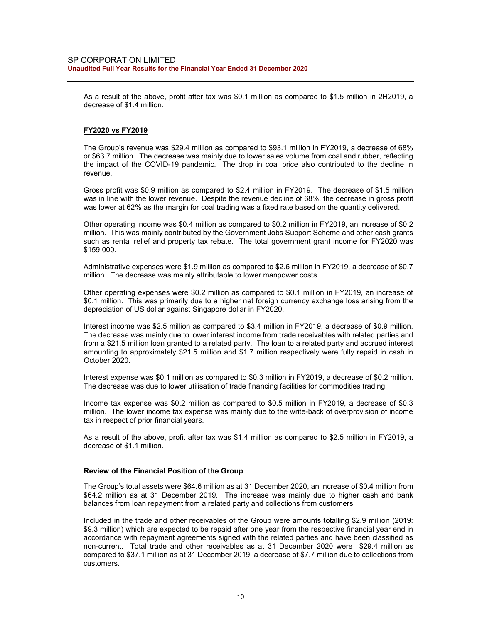As a result of the above, profit after tax was \$0.1 million as compared to \$1.5 million in 2H2019, a decrease of \$1.4 million.

### FY2020 vs FY2019

The Group's revenue was \$29.4 million as compared to \$93.1 million in FY2019, a decrease of 68% or \$63.7 million. The decrease was mainly due to lower sales volume from coal and rubber, reflecting the impact of the COVID-19 pandemic. The drop in coal price also contributed to the decline in revenue.

Gross profit was \$0.9 million as compared to \$2.4 million in FY2019. The decrease of \$1.5 million was in line with the lower revenue. Despite the revenue decline of 68%, the decrease in gross profit was lower at 62% as the margin for coal trading was a fixed rate based on the quantity delivered.

Other operating income was \$0.4 million as compared to \$0.2 million in FY2019, an increase of \$0.2 million. This was mainly contributed by the Government Jobs Support Scheme and other cash grants such as rental relief and property tax rebate. The total government grant income for FY2020 was \$159,000.

Administrative expenses were \$1.9 million as compared to \$2.6 million in FY2019, a decrease of \$0.7 million. The decrease was mainly attributable to lower manpower costs.

Other operating expenses were \$0.2 million as compared to \$0.1 million in FY2019, an increase of \$0.1 million. This was primarily due to a higher net foreign currency exchange loss arising from the depreciation of US dollar against Singapore dollar in FY2020.

Interest income was \$2.5 million as compared to \$3.4 million in FY2019, a decrease of \$0.9 million. The decrease was mainly due to lower interest income from trade receivables with related parties and from a \$21.5 million loan granted to a related party. The loan to a related party and accrued interest amounting to approximately \$21.5 million and \$1.7 million respectively were fully repaid in cash in October 2020.

Interest expense was \$0.1 million as compared to \$0.3 million in FY2019, a decrease of \$0.2 million. The decrease was due to lower utilisation of trade financing facilities for commodities trading.

Income tax expense was \$0.2 million as compared to \$0.5 million in FY2019, a decrease of \$0.3 million. The lower income tax expense was mainly due to the write-back of overprovision of income tax in respect of prior financial years.

As a result of the above, profit after tax was \$1.4 million as compared to \$2.5 million in FY2019, a decrease of \$1.1 million.

#### Review of the Financial Position of the Group

The Group's total assets were \$64.6 million as at 31 December 2020, an increase of \$0.4 million from \$64.2 million as at 31 December 2019. The increase was mainly due to higher cash and bank balances from loan repayment from a related party and collections from customers.

Included in the trade and other receivables of the Group were amounts totalling \$2.9 million (2019: \$9.3 million) which are expected to be repaid after one year from the respective financial year end in accordance with repayment agreements signed with the related parties and have been classified as non-current. Total trade and other receivables as at 31 December 2020 were \$29.4 million as compared to \$37.1 million as at 31 December 2019, a decrease of \$7.7 million due to collections from customers.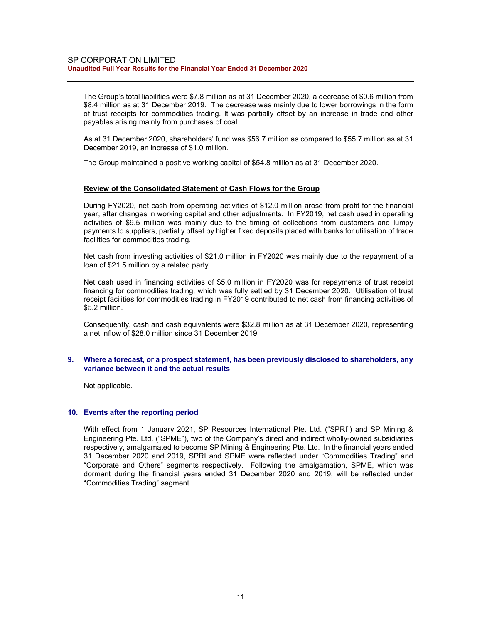The Group's total liabilities were \$7.8 million as at 31 December 2020, a decrease of \$0.6 million from \$8.4 million as at 31 December 2019. The decrease was mainly due to lower borrowings in the form of trust receipts for commodities trading. It was partially offset by an increase in trade and other payables arising mainly from purchases of coal.

As at 31 December 2020, shareholders' fund was \$56.7 million as compared to \$55.7 million as at 31 December 2019, an increase of \$1.0 million.

The Group maintained a positive working capital of \$54.8 million as at 31 December 2020.

### Review of the Consolidated Statement of Cash Flows for the Group

During FY2020, net cash from operating activities of \$12.0 million arose from profit for the financial year, after changes in working capital and other adjustments. In FY2019, net cash used in operating activities of \$9.5 million was mainly due to the timing of collections from customers and lumpy payments to suppliers, partially offset by higher fixed deposits placed with banks for utilisation of trade facilities for commodities trading.

Net cash from investing activities of \$21.0 million in FY2020 was mainly due to the repayment of a loan of \$21.5 million by a related party.

Net cash used in financing activities of \$5.0 million in FY2020 was for repayments of trust receipt financing for commodities trading, which was fully settled by 31 December 2020. Utilisation of trust receipt facilities for commodities trading in FY2019 contributed to net cash from financing activities of \$5.2 million.

Consequently, cash and cash equivalents were \$32.8 million as at 31 December 2020, representing a net inflow of \$28.0 million since 31 December 2019.

### 9. Where a forecast, or a prospect statement, has been previously disclosed to shareholders, any variance between it and the actual results

Not applicable.

#### 10. Events after the reporting period

With effect from 1 January 2021, SP Resources International Pte. Ltd. ("SPRI") and SP Mining & Engineering Pte. Ltd. ("SPME"), two of the Company's direct and indirect wholly-owned subsidiaries respectively, amalgamated to become SP Mining & Engineering Pte. Ltd. In the financial years ended 31 December 2020 and 2019, SPRI and SPME were reflected under "Commodities Trading" and "Corporate and Others" segments respectively. Following the amalgamation, SPME, which was dormant during the financial years ended 31 December 2020 and 2019, will be reflected under "Commodities Trading" segment.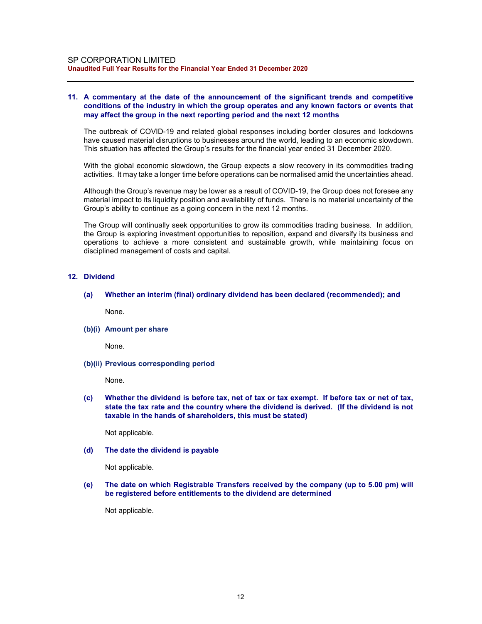#### 11. A commentary at the date of the announcement of the significant trends and competitive conditions of the industry in which the group operates and any known factors or events that may affect the group in the next reporting period and the next 12 months

The outbreak of COVID-19 and related global responses including border closures and lockdowns have caused material disruptions to businesses around the world, leading to an economic slowdown. This situation has affected the Group's results for the financial year ended 31 December 2020.

With the global economic slowdown, the Group expects a slow recovery in its commodities trading activities. It may take a longer time before operations can be normalised amid the uncertainties ahead.

Although the Group's revenue may be lower as a result of COVID-19, the Group does not foresee any material impact to its liquidity position and availability of funds. There is no material uncertainty of the Group's ability to continue as a going concern in the next 12 months.

The Group will continually seek opportunities to grow its commodities trading business. In addition, the Group is exploring investment opportunities to reposition, expand and diversify its business and operations to achieve a more consistent and sustainable growth, while maintaining focus on disciplined management of costs and capital.

### 12. Dividend

(a) Whether an interim (final) ordinary dividend has been declared (recommended); and

None.

(b)(i) Amount per share

None.

(b)(ii) Previous corresponding period

None.

(c) Whether the dividend is before tax, net of tax or tax exempt. If before tax or net of tax, state the tax rate and the country where the dividend is derived. (If the dividend is not taxable in the hands of shareholders, this must be stated)

Not applicable.

(d) The date the dividend is payable

Not applicable.

(e) The date on which Registrable Transfers received by the company (up to 5.00 pm) will be registered before entitlements to the dividend are determined

Not applicable.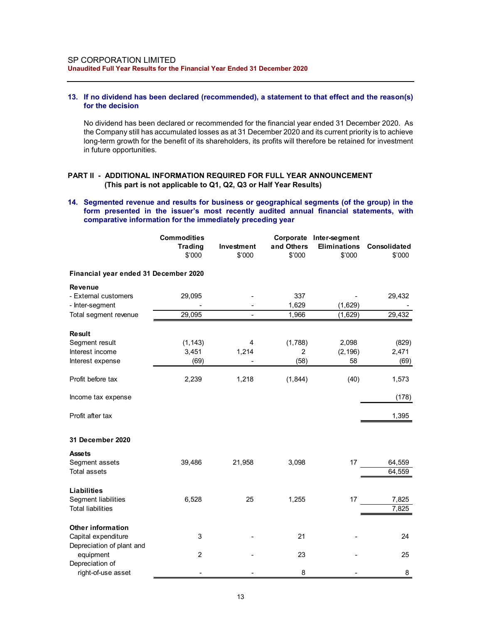### 13. If no dividend has been declared (recommended), a statement to that effect and the reason(s) for the decision

### PART II - ADDITIONAL INFORMATION REQUIRED FOR FULL YEAR ANNOUNCEMENT (This part is not applicable to Q1, Q2, Q3 or Half Year Results)

#### 14. Segmented revenue and results for business or geographical segments (of the group) in the form presented in the issuer's most recently audited annual financial statements, with comparative information for the immediately preceding year

|                                                                                                                                                                                                                                                       | SP CORPORATION LIMITED<br>Unaudited Full Year Results for the Financial Year Ended 31 December 2020                                                                                                                                                                                                                                                 |                                                                  |                      |                      |                                   |                                     |  |  |
|-------------------------------------------------------------------------------------------------------------------------------------------------------------------------------------------------------------------------------------------------------|-----------------------------------------------------------------------------------------------------------------------------------------------------------------------------------------------------------------------------------------------------------------------------------------------------------------------------------------------------|------------------------------------------------------------------|----------------------|----------------------|-----------------------------------|-------------------------------------|--|--|
|                                                                                                                                                                                                                                                       | 13. If no dividend has been declared (recommended), a statement to that effect and the reason(s)<br>for the decision                                                                                                                                                                                                                                |                                                                  |                      |                      |                                   |                                     |  |  |
|                                                                                                                                                                                                                                                       | No dividend has been declared or recommended for the financial year ended 31 December 2020. As<br>the Company still has accumulated losses as at 31 December 2020 and its current priority is to achieve<br>long-term growth for the benefit of its shareholders, its profits will therefore be retained for investment<br>in future opportunities. |                                                                  |                      |                      |                                   |                                     |  |  |
|                                                                                                                                                                                                                                                       | PART II - ADDITIONAL INFORMATION REQUIRED FOR FULL YEAR ANNOUNCEMENT                                                                                                                                                                                                                                                                                | (This part is not applicable to Q1, Q2, Q3 or Half Year Results) |                      |                      |                                   |                                     |  |  |
| 14. Segmented revenue and results for business or geographical segments (of the group) in the<br>form presented in the issuer's most recently audited annual financial statements, with<br>comparative information for the immediately preceding year |                                                                                                                                                                                                                                                                                                                                                     |                                                                  |                      |                      |                                   |                                     |  |  |
|                                                                                                                                                                                                                                                       |                                                                                                                                                                                                                                                                                                                                                     | <b>Commodities</b><br><b>Trading</b><br>\$'000                   | Investment<br>\$'000 | and Others<br>\$'000 | Corporate Inter-segment<br>\$'000 | Eliminations Consolidated<br>\$'000 |  |  |
|                                                                                                                                                                                                                                                       | Financial year ended 31 December 2020                                                                                                                                                                                                                                                                                                               |                                                                  |                      |                      |                                   |                                     |  |  |
|                                                                                                                                                                                                                                                       | <b>Revenue</b><br>- External customers                                                                                                                                                                                                                                                                                                              | 29,095                                                           |                      | 337<br>1,629         | (1,629)                           | 29,432                              |  |  |
|                                                                                                                                                                                                                                                       | - Inter-segment<br>Total segment revenue                                                                                                                                                                                                                                                                                                            | 29,095                                                           |                      | 1,966                | (1,629)                           | 29,432                              |  |  |
|                                                                                                                                                                                                                                                       |                                                                                                                                                                                                                                                                                                                                                     |                                                                  |                      |                      |                                   |                                     |  |  |
| Result                                                                                                                                                                                                                                                | Segment result                                                                                                                                                                                                                                                                                                                                      | (1, 143)                                                         | 4                    | (1,788)              | 2,098                             | (829)                               |  |  |
|                                                                                                                                                                                                                                                       | Interest income                                                                                                                                                                                                                                                                                                                                     | 3,451                                                            | 1,214                | 2                    | (2, 196)                          | 2,471                               |  |  |
|                                                                                                                                                                                                                                                       | Interest expense                                                                                                                                                                                                                                                                                                                                    | (69)                                                             |                      | (58)                 | 58                                | (69)                                |  |  |
|                                                                                                                                                                                                                                                       | Profit before tax                                                                                                                                                                                                                                                                                                                                   | 2,239                                                            | 1,218                | (1, 844)             | (40)                              | 1,573                               |  |  |
|                                                                                                                                                                                                                                                       | Income tax expense                                                                                                                                                                                                                                                                                                                                  |                                                                  |                      |                      |                                   | (178)                               |  |  |
|                                                                                                                                                                                                                                                       | Profit after tax                                                                                                                                                                                                                                                                                                                                    |                                                                  |                      |                      |                                   | 1,395                               |  |  |
|                                                                                                                                                                                                                                                       | 31 December 2020                                                                                                                                                                                                                                                                                                                                    |                                                                  |                      |                      |                                   |                                     |  |  |
| <b>Assets</b>                                                                                                                                                                                                                                         |                                                                                                                                                                                                                                                                                                                                                     |                                                                  |                      |                      |                                   |                                     |  |  |
|                                                                                                                                                                                                                                                       | Segment assets<br><b>Total assets</b>                                                                                                                                                                                                                                                                                                               | 39,486                                                           | 21,958               | 3,098                | 17                                | 64,559<br>64,559                    |  |  |
|                                                                                                                                                                                                                                                       | <b>Liabilities</b>                                                                                                                                                                                                                                                                                                                                  |                                                                  |                      |                      |                                   |                                     |  |  |
|                                                                                                                                                                                                                                                       | Segment liabilities<br><b>Total liabilities</b>                                                                                                                                                                                                                                                                                                     | 6,528                                                            | 25                   | 1,255                | 17                                | 7,825<br>7,825                      |  |  |
|                                                                                                                                                                                                                                                       | <b>Other information</b><br>Capital expenditure                                                                                                                                                                                                                                                                                                     | 3                                                                |                      | 21                   |                                   | 24                                  |  |  |
|                                                                                                                                                                                                                                                       | Depreciation of plant and<br>equipment                                                                                                                                                                                                                                                                                                              | $\overline{\mathbf{c}}$                                          |                      | 23                   |                                   | 25                                  |  |  |
|                                                                                                                                                                                                                                                       | Depreciation of                                                                                                                                                                                                                                                                                                                                     |                                                                  |                      |                      |                                   |                                     |  |  |
|                                                                                                                                                                                                                                                       | right-of-use asset                                                                                                                                                                                                                                                                                                                                  |                                                                  |                      | 8                    |                                   | 8                                   |  |  |
|                                                                                                                                                                                                                                                       |                                                                                                                                                                                                                                                                                                                                                     |                                                                  | 13                   |                      |                                   |                                     |  |  |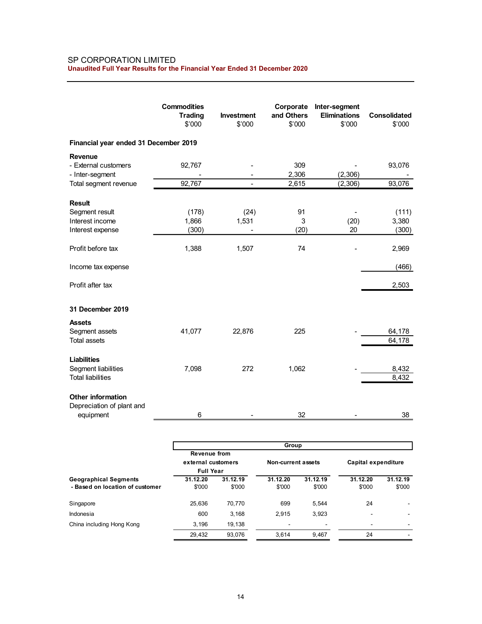### SP CORPORATION LIMITED Unaudited Full Year Results for the Financial Year Ended 31 December 2020

| SP CORPORATION LIMITED<br>Unaudited Full Year Results for the Financial Year Ended 31 December 2020 |                                    |                                            |                    |                                     |                      |
|-----------------------------------------------------------------------------------------------------|------------------------------------|--------------------------------------------|--------------------|-------------------------------------|----------------------|
|                                                                                                     |                                    |                                            |                    |                                     |                      |
|                                                                                                     |                                    |                                            |                    |                                     |                      |
|                                                                                                     |                                    |                                            |                    |                                     |                      |
|                                                                                                     |                                    |                                            |                    |                                     |                      |
|                                                                                                     |                                    |                                            |                    |                                     |                      |
|                                                                                                     |                                    |                                            |                    |                                     |                      |
|                                                                                                     |                                    |                                            |                    |                                     |                      |
|                                                                                                     |                                    |                                            |                    |                                     |                      |
|                                                                                                     |                                    |                                            |                    |                                     |                      |
|                                                                                                     |                                    |                                            |                    |                                     |                      |
|                                                                                                     |                                    |                                            |                    |                                     |                      |
|                                                                                                     |                                    |                                            |                    |                                     |                      |
|                                                                                                     | <b>Commodities</b>                 |                                            | Corporate          | Inter-segment                       |                      |
|                                                                                                     | <b>Trading</b>                     | Investment                                 | and Others         | <b>Eliminations</b>                 | Consolidated         |
|                                                                                                     | \$'000                             | \$'000                                     | \$'000             | \$'000                              | \$'000               |
| Financial year ended 31 December 2019                                                               |                                    |                                            |                    |                                     |                      |
|                                                                                                     |                                    |                                            |                    |                                     |                      |
| Revenue                                                                                             |                                    |                                            |                    |                                     |                      |
| - External customers<br>- Inter-segment                                                             | 92,767                             | $\overline{\phantom{a}}$<br>$\blacksquare$ | 309<br>2,306       | $\overline{\phantom{a}}$<br>(2,306) | 93,076               |
| Total segment revenue                                                                               | 92,767                             | $\blacksquare$                             | 2,615              | (2,306)                             | 93,076               |
|                                                                                                     |                                    |                                            |                    |                                     |                      |
| <b>Result</b>                                                                                       |                                    |                                            |                    |                                     |                      |
| Segment result                                                                                      | (178)                              | (24)                                       | 91                 | $\overline{\phantom{a}}$            | (111)                |
| Interest income                                                                                     | 1,866                              | 1,531                                      | 3                  | (20)                                | 3,380                |
| Interest expense                                                                                    | (300)                              | $\sim$                                     | (20)               | $20\,$                              | (300)                |
| Profit before tax                                                                                   | 1,388                              | 1,507                                      | 74                 | $\overline{\phantom{0}}$            | 2,969                |
|                                                                                                     |                                    |                                            |                    |                                     |                      |
| Income tax expense                                                                                  |                                    |                                            |                    |                                     | (466)                |
|                                                                                                     |                                    |                                            |                    |                                     |                      |
| Profit after tax                                                                                    |                                    |                                            |                    |                                     | 2,503                |
|                                                                                                     |                                    |                                            |                    |                                     |                      |
| 31 December 2019                                                                                    |                                    |                                            |                    |                                     |                      |
| <b>Assets</b>                                                                                       |                                    |                                            |                    |                                     |                      |
| Segment assets                                                                                      | 41,077                             | 22,876                                     | 225                |                                     | 64,178               |
| Total assets                                                                                        |                                    |                                            |                    |                                     | 64,178               |
|                                                                                                     |                                    |                                            |                    |                                     |                      |
| <b>Liabilities</b>                                                                                  |                                    |                                            |                    |                                     |                      |
| Segment liabilities<br><b>Total liabilities</b>                                                     | 7,098                              | 272                                        | 1,062              |                                     | 8,432<br>8,432       |
|                                                                                                     |                                    |                                            |                    |                                     |                      |
| Other information                                                                                   |                                    |                                            |                    |                                     |                      |
| Depreciation of plant and                                                                           |                                    |                                            |                    |                                     |                      |
| equipment                                                                                           | 6                                  | $\blacksquare$                             | 32                 |                                     | 38                   |
|                                                                                                     |                                    |                                            |                    |                                     |                      |
|                                                                                                     |                                    |                                            |                    |                                     |                      |
|                                                                                                     |                                    |                                            | Group              |                                     |                      |
|                                                                                                     | Revenue from<br>external customers |                                            | Non-current assets |                                     | Capital expenditure  |
|                                                                                                     | <b>Full Year</b>                   |                                            |                    |                                     |                      |
| <b>Geographical Segments</b>                                                                        | 31.12.20                           | 31.12.19                                   | 31.12.20           | 31.12.19<br>31.12.20                | 31.12.19             |
| - Based on location of customer                                                                     | \$'000                             | \$'000                                     | \$'000             | \$'000                              | \$'000<br>\$'000     |
| Singapore                                                                                           | 25,636                             | 70,770                                     | 699                | 5,544                               | 24<br>$\blacksquare$ |
| Indonesia                                                                                           | 600                                | 3,168                                      | 2,915              | 3,923                               |                      |
| China including Hong Kong                                                                           | 3,196                              | 19,138                                     | $\blacksquare$     | $\blacksquare$                      | $\blacksquare$       |
|                                                                                                     | 29,432                             | 93,076                                     | 3,614              |                                     |                      |
|                                                                                                     |                                    |                                            |                    | 9,467                               | $24\,$               |

|                                                                 |                                                        |                    | Group                    |                    |                     |                    |
|-----------------------------------------------------------------|--------------------------------------------------------|--------------------|--------------------------|--------------------|---------------------|--------------------|
|                                                                 | Revenue from<br>external customers<br><b>Full Year</b> |                    | Non-current assets       |                    | Capital expenditure |                    |
| <b>Geographical Segments</b><br>- Based on location of customer | 31.12.20<br>\$'000                                     | 31.12.19<br>\$'000 | 31.12.20<br>\$'000       | 31.12.19<br>\$'000 | 31.12.20<br>\$'000  | 31.12.19<br>\$'000 |
| Singapore                                                       | 25,636                                                 | 70,770             | 699                      | 5.544              | 24                  | ۰                  |
| Indonesia                                                       | 600                                                    | 3.168              | 2.915                    | 3,923              | ٠                   | $\,$               |
| China including Hong Kong                                       | 3.196                                                  | 19,138             | $\overline{\phantom{a}}$ |                    | ٠                   |                    |
|                                                                 | 29,432                                                 | 93,076             | 3.614                    | 9.467              | 24                  |                    |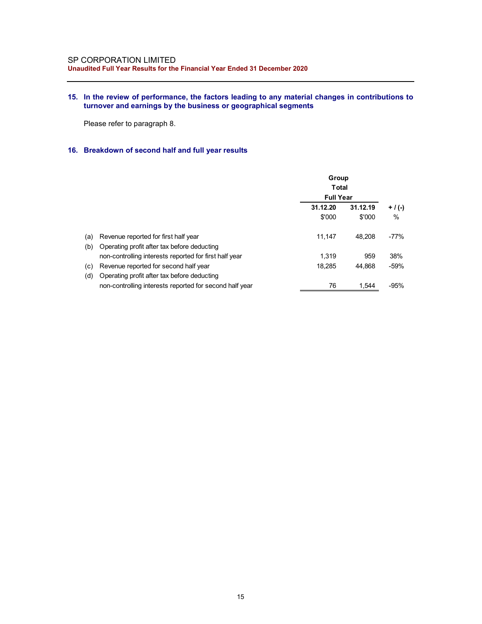## 15. In the review of performance, the factors leading to any material changes in contributions to turnover and earnings by the business or geographical segments

## 16. Breakdown of second half and full year results

|     | <b>CORPORATION LIMITED</b><br>Idited Full Year Results for the Financial Year Ended 31 December 2020                                                            |                       |          |                   |
|-----|-----------------------------------------------------------------------------------------------------------------------------------------------------------------|-----------------------|----------|-------------------|
|     | In the review of performance, the factors leading to any material changes in contributions to<br>turnover and earnings by the business or geographical segments |                       |          |                   |
|     | Please refer to paragraph 8.                                                                                                                                    |                       |          |                   |
|     | Breakdown of second half and full year results                                                                                                                  |                       |          |                   |
|     |                                                                                                                                                                 | Group<br><b>Total</b> |          |                   |
|     |                                                                                                                                                                 | <b>Full Year</b>      |          |                   |
|     |                                                                                                                                                                 | 31.12.20              | 31.12.19 |                   |
|     |                                                                                                                                                                 | \$'000                | \$'000   | $+$ / (-)<br>$\%$ |
| (a) | Revenue reported for first half year<br>(b) Operating profit after tax before deducting                                                                         | 11,147                | 48,208   | $-77%$            |
|     | non-controlling interests reported for first half year                                                                                                          | 1,319                 | 959      | 38%               |
| (c) | Revenue reported for second half year                                                                                                                           | 18,285                | 44,868   | $-59%$            |
| (d) | Operating profit after tax before deducting                                                                                                                     |                       |          |                   |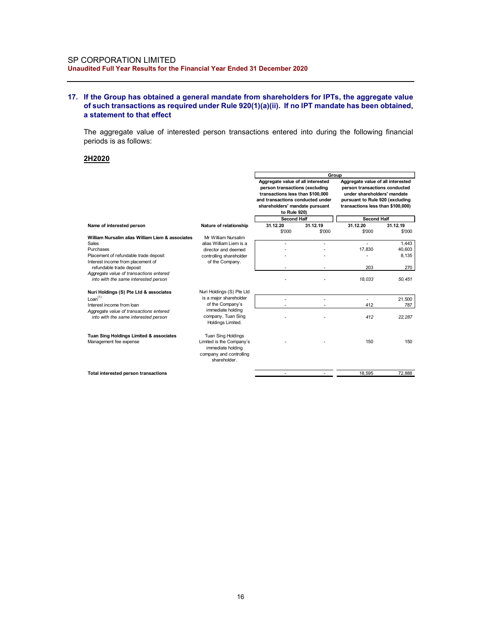### 17. If the Group has obtained a general mandate from shareholders for IPTs, the aggregate value of such transactions as required under Rule 920(1)(a)(ii). If no IPT mandate has been obtained, a statement to that effect

### 2H2020

| dited Full Year Results for the Financial Year Ended 31 December 2020<br>f the Group has obtained a general mandate from shareholders for IPTs, the aggregate value<br>of such transactions as required under Rule 920(1)(a)(ii). If no IPT mandate has been obtained,<br>a statement to that effect<br>The aggregate value of interested person transactions entered into during the following financial<br>beriods is as follows:<br>2H2020<br>Group<br>Aggregate value of all interested<br>Aggregate value of all interested<br>person transactions (excluding<br>person transactions conducted<br>transactions less than \$100,000<br>under shareholders' mandate<br>and transactions conducted under<br>pursuant to Rule 920 (excluding<br>shareholders' mandate pursuant<br>transactions less than \$100,000)<br>to Rule 920)<br><b>Second Half</b><br><b>Second Half</b><br>31.12.20<br>31.12.19<br>31.12.20<br>31.12.19<br>Name of interested person<br>Nature of relationship<br>\$'000<br>\$'000<br>\$'000<br>\$'000<br>William Nursalim alias William Liem & associates<br>Mr William Nursalim<br>1.443<br>Sales<br>alias William Liem is a<br>×.<br>$\sim$<br>$\sim$<br>17,830<br>40,603<br>Purchases<br>director and deemed<br>8,135<br>Placement of refundable trade deposit<br>controlling shareholder<br>$\overline{\phantom{a}}$<br>Interest income from placement of<br>of the Company.<br>refundable trade deposit<br>203<br>270<br>Aggregate value of transactions entered<br>18,033<br>into with the same interested person<br>50,451<br>Nuri Holdings (S) Pte Ltd & associates<br>Nuri Holdings (S) Pte Ltd<br>is a major shareholder<br>Lean <sup>(1)</sup><br>21,500<br>×.<br>$\overline{\phantom{a}}$<br>$\sim$<br>of the Company's<br>412<br>787<br>Interest income from loan<br>immediate holding<br>Aggregate value of transactions entered<br>company, Tuan Sing<br>412<br>22,287<br>into with the same interested person<br>Holdings Limited.<br><b>Tuan Sing Holdings</b><br>Tuan Sing Holdings Limited & associates<br>150<br>150<br>Management fee expense<br>Limited is the Company's<br>immediate holding<br>company and controlling<br>shareholder. | <b>CORPORATION LIMITED</b> |  |  |  |  |  |
|------------------------------------------------------------------------------------------------------------------------------------------------------------------------------------------------------------------------------------------------------------------------------------------------------------------------------------------------------------------------------------------------------------------------------------------------------------------------------------------------------------------------------------------------------------------------------------------------------------------------------------------------------------------------------------------------------------------------------------------------------------------------------------------------------------------------------------------------------------------------------------------------------------------------------------------------------------------------------------------------------------------------------------------------------------------------------------------------------------------------------------------------------------------------------------------------------------------------------------------------------------------------------------------------------------------------------------------------------------------------------------------------------------------------------------------------------------------------------------------------------------------------------------------------------------------------------------------------------------------------------------------------------------------------------------------------------------------------------------------------------------------------------------------------------------------------------------------------------------------------------------------------------------------------------------------------------------------------------------------------------------------------------------------------------------------------------------------------------------------------------------------------------------------------------------------|----------------------------|--|--|--|--|--|
|                                                                                                                                                                                                                                                                                                                                                                                                                                                                                                                                                                                                                                                                                                                                                                                                                                                                                                                                                                                                                                                                                                                                                                                                                                                                                                                                                                                                                                                                                                                                                                                                                                                                                                                                                                                                                                                                                                                                                                                                                                                                                                                                                                                          |                            |  |  |  |  |  |
|                                                                                                                                                                                                                                                                                                                                                                                                                                                                                                                                                                                                                                                                                                                                                                                                                                                                                                                                                                                                                                                                                                                                                                                                                                                                                                                                                                                                                                                                                                                                                                                                                                                                                                                                                                                                                                                                                                                                                                                                                                                                                                                                                                                          |                            |  |  |  |  |  |
|                                                                                                                                                                                                                                                                                                                                                                                                                                                                                                                                                                                                                                                                                                                                                                                                                                                                                                                                                                                                                                                                                                                                                                                                                                                                                                                                                                                                                                                                                                                                                                                                                                                                                                                                                                                                                                                                                                                                                                                                                                                                                                                                                                                          |                            |  |  |  |  |  |
|                                                                                                                                                                                                                                                                                                                                                                                                                                                                                                                                                                                                                                                                                                                                                                                                                                                                                                                                                                                                                                                                                                                                                                                                                                                                                                                                                                                                                                                                                                                                                                                                                                                                                                                                                                                                                                                                                                                                                                                                                                                                                                                                                                                          |                            |  |  |  |  |  |
|                                                                                                                                                                                                                                                                                                                                                                                                                                                                                                                                                                                                                                                                                                                                                                                                                                                                                                                                                                                                                                                                                                                                                                                                                                                                                                                                                                                                                                                                                                                                                                                                                                                                                                                                                                                                                                                                                                                                                                                                                                                                                                                                                                                          |                            |  |  |  |  |  |
|                                                                                                                                                                                                                                                                                                                                                                                                                                                                                                                                                                                                                                                                                                                                                                                                                                                                                                                                                                                                                                                                                                                                                                                                                                                                                                                                                                                                                                                                                                                                                                                                                                                                                                                                                                                                                                                                                                                                                                                                                                                                                                                                                                                          |                            |  |  |  |  |  |
|                                                                                                                                                                                                                                                                                                                                                                                                                                                                                                                                                                                                                                                                                                                                                                                                                                                                                                                                                                                                                                                                                                                                                                                                                                                                                                                                                                                                                                                                                                                                                                                                                                                                                                                                                                                                                                                                                                                                                                                                                                                                                                                                                                                          |                            |  |  |  |  |  |
|                                                                                                                                                                                                                                                                                                                                                                                                                                                                                                                                                                                                                                                                                                                                                                                                                                                                                                                                                                                                                                                                                                                                                                                                                                                                                                                                                                                                                                                                                                                                                                                                                                                                                                                                                                                                                                                                                                                                                                                                                                                                                                                                                                                          |                            |  |  |  |  |  |
|                                                                                                                                                                                                                                                                                                                                                                                                                                                                                                                                                                                                                                                                                                                                                                                                                                                                                                                                                                                                                                                                                                                                                                                                                                                                                                                                                                                                                                                                                                                                                                                                                                                                                                                                                                                                                                                                                                                                                                                                                                                                                                                                                                                          |                            |  |  |  |  |  |
|                                                                                                                                                                                                                                                                                                                                                                                                                                                                                                                                                                                                                                                                                                                                                                                                                                                                                                                                                                                                                                                                                                                                                                                                                                                                                                                                                                                                                                                                                                                                                                                                                                                                                                                                                                                                                                                                                                                                                                                                                                                                                                                                                                                          |                            |  |  |  |  |  |
|                                                                                                                                                                                                                                                                                                                                                                                                                                                                                                                                                                                                                                                                                                                                                                                                                                                                                                                                                                                                                                                                                                                                                                                                                                                                                                                                                                                                                                                                                                                                                                                                                                                                                                                                                                                                                                                                                                                                                                                                                                                                                                                                                                                          |                            |  |  |  |  |  |
|                                                                                                                                                                                                                                                                                                                                                                                                                                                                                                                                                                                                                                                                                                                                                                                                                                                                                                                                                                                                                                                                                                                                                                                                                                                                                                                                                                                                                                                                                                                                                                                                                                                                                                                                                                                                                                                                                                                                                                                                                                                                                                                                                                                          |                            |  |  |  |  |  |
|                                                                                                                                                                                                                                                                                                                                                                                                                                                                                                                                                                                                                                                                                                                                                                                                                                                                                                                                                                                                                                                                                                                                                                                                                                                                                                                                                                                                                                                                                                                                                                                                                                                                                                                                                                                                                                                                                                                                                                                                                                                                                                                                                                                          |                            |  |  |  |  |  |
|                                                                                                                                                                                                                                                                                                                                                                                                                                                                                                                                                                                                                                                                                                                                                                                                                                                                                                                                                                                                                                                                                                                                                                                                                                                                                                                                                                                                                                                                                                                                                                                                                                                                                                                                                                                                                                                                                                                                                                                                                                                                                                                                                                                          |                            |  |  |  |  |  |
|                                                                                                                                                                                                                                                                                                                                                                                                                                                                                                                                                                                                                                                                                                                                                                                                                                                                                                                                                                                                                                                                                                                                                                                                                                                                                                                                                                                                                                                                                                                                                                                                                                                                                                                                                                                                                                                                                                                                                                                                                                                                                                                                                                                          |                            |  |  |  |  |  |
|                                                                                                                                                                                                                                                                                                                                                                                                                                                                                                                                                                                                                                                                                                                                                                                                                                                                                                                                                                                                                                                                                                                                                                                                                                                                                                                                                                                                                                                                                                                                                                                                                                                                                                                                                                                                                                                                                                                                                                                                                                                                                                                                                                                          |                            |  |  |  |  |  |
|                                                                                                                                                                                                                                                                                                                                                                                                                                                                                                                                                                                                                                                                                                                                                                                                                                                                                                                                                                                                                                                                                                                                                                                                                                                                                                                                                                                                                                                                                                                                                                                                                                                                                                                                                                                                                                                                                                                                                                                                                                                                                                                                                                                          |                            |  |  |  |  |  |
|                                                                                                                                                                                                                                                                                                                                                                                                                                                                                                                                                                                                                                                                                                                                                                                                                                                                                                                                                                                                                                                                                                                                                                                                                                                                                                                                                                                                                                                                                                                                                                                                                                                                                                                                                                                                                                                                                                                                                                                                                                                                                                                                                                                          |                            |  |  |  |  |  |
|                                                                                                                                                                                                                                                                                                                                                                                                                                                                                                                                                                                                                                                                                                                                                                                                                                                                                                                                                                                                                                                                                                                                                                                                                                                                                                                                                                                                                                                                                                                                                                                                                                                                                                                                                                                                                                                                                                                                                                                                                                                                                                                                                                                          |                            |  |  |  |  |  |
| 18,595<br>72,888<br>Total interested person transactions<br>$\sim$                                                                                                                                                                                                                                                                                                                                                                                                                                                                                                                                                                                                                                                                                                                                                                                                                                                                                                                                                                                                                                                                                                                                                                                                                                                                                                                                                                                                                                                                                                                                                                                                                                                                                                                                                                                                                                                                                                                                                                                                                                                                                                                       |                            |  |  |  |  |  |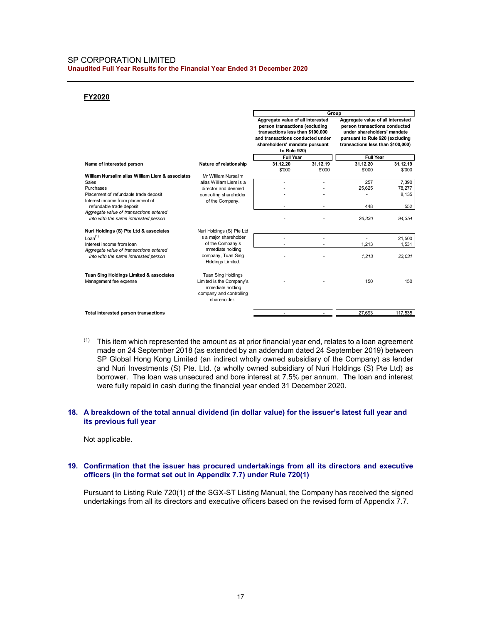#### SP CORPORATION LIMITED Unaudited Full Year Results for the Financial Year Ended 31 December 2020

#### FY2020

| <b>CORPORATION LIMITED</b><br>udited Full Year Results for the Financial Year Ended 31 December 2020 |                                                                                                                |                                                                                                                                                                                               |                          |                                                                                                                                                                           |                    |
|------------------------------------------------------------------------------------------------------|----------------------------------------------------------------------------------------------------------------|-----------------------------------------------------------------------------------------------------------------------------------------------------------------------------------------------|--------------------------|---------------------------------------------------------------------------------------------------------------------------------------------------------------------------|--------------------|
|                                                                                                      |                                                                                                                |                                                                                                                                                                                               |                          |                                                                                                                                                                           |                    |
| FY2020                                                                                               |                                                                                                                |                                                                                                                                                                                               |                          |                                                                                                                                                                           |                    |
|                                                                                                      |                                                                                                                |                                                                                                                                                                                               | Group                    |                                                                                                                                                                           |                    |
|                                                                                                      |                                                                                                                | Aggregate value of all interested<br>person transactions (excluding<br>transactions less than \$100,000<br>and transactions conducted under<br>shareholders' mandate pursuant<br>to Rule 920) |                          | Aggregate value of all interested<br>person transactions conducted<br>under shareholders' mandate<br>pursuant to Rule 920 (excluding<br>transactions less than \$100,000) |                    |
|                                                                                                      |                                                                                                                | <b>Full Year</b>                                                                                                                                                                              |                          | <b>Full Year</b>                                                                                                                                                          |                    |
| Name of interested person                                                                            | Nature of relationship                                                                                         | 31.12.20<br>\$'000                                                                                                                                                                            | 31.12.19<br>\$'000       | 31.12.20<br>\$'000                                                                                                                                                        | 31.12.19<br>\$'000 |
| William Nursalim alias William Liem & associates                                                     | Mr William Nursalim                                                                                            |                                                                                                                                                                                               |                          |                                                                                                                                                                           |                    |
| Sales<br>Purchases                                                                                   | alias William Liem is a<br>director and deemed                                                                 | $\blacksquare$<br>×.                                                                                                                                                                          | $\overline{\phantom{a}}$ | 257<br>25,625                                                                                                                                                             | 7,390<br>78,277    |
| Placement of refundable trade deposit<br>Interest income from placement of                           | controlling shareholder<br>of the Company.                                                                     | $\blacksquare$                                                                                                                                                                                | ÷                        | $\mathbf{r}$                                                                                                                                                              | 8,135              |
| refundable trade deposit                                                                             |                                                                                                                |                                                                                                                                                                                               |                          | 448                                                                                                                                                                       | 552                |
| Aggregate value of transactions entered<br>into with the same interested person                      |                                                                                                                |                                                                                                                                                                                               |                          | 26,330                                                                                                                                                                    | 94,354             |
| Nuri Holdings (S) Pte Ltd & associates                                                               | Nuri Holdings (S) Pte Ltd                                                                                      |                                                                                                                                                                                               |                          |                                                                                                                                                                           |                    |
| Lean <sup>(1)</sup>                                                                                  | is a major shareholder                                                                                         | $\sim$                                                                                                                                                                                        | $\sim$                   | $\sim$                                                                                                                                                                    | 21,500             |
| Interest income from loan<br>Aggregate value of transactions entered                                 | of the Company's<br>immediate holding                                                                          |                                                                                                                                                                                               | $\sim$                   | 1,213                                                                                                                                                                     | 1,531              |
| into with the same interested person                                                                 | company, Tuan Sing<br>Holdings Limited.                                                                        |                                                                                                                                                                                               |                          | 1,213                                                                                                                                                                     | 23,031             |
| Tuan Sing Holdings Limited & associates<br>Management fee expense                                    | Tuan Sing Holdings<br>Limited is the Company's<br>immediate holding<br>company and controlling<br>shareholder. |                                                                                                                                                                                               |                          | 150                                                                                                                                                                       | 150                |
|                                                                                                      |                                                                                                                |                                                                                                                                                                                               |                          |                                                                                                                                                                           |                    |
| Total interested person transactions                                                                 |                                                                                                                | ÷                                                                                                                                                                                             | $\sim$                   | 27,693                                                                                                                                                                    | 117,535            |

 $(1)$  This item which represented the amount as at prior financial year end, relates to a loan agreement made on 24 September 2018 (as extended by an addendum dated 24 September 2019) between SP Global Hong Kong Limited (an indirect wholly owned subsidiary of the Company) as lender and Nuri Investments (S) Pte. Ltd. (a wholly owned subsidiary of Nuri Holdings (S) Pte Ltd) as borrower. The loan was unsecured and bore interest at 7.5% per annum. The loan and interest were fully repaid in cash during the financial year ended 31 December 2020.

### 18. A breakdown of the total annual dividend (in dollar value) for the issuer's latest full year and its previous full year

Not applicable.

#### 19. Confirmation that the issuer has procured undertakings from all its directors and executive officers (in the format set out in Appendix 7.7) under Rule 720(1)

Pursuant to Listing Rule 720(1) of the SGX-ST Listing Manual, the Company has received the signed undertakings from all its directors and executive officers based on the revised form of Appendix 7.7.